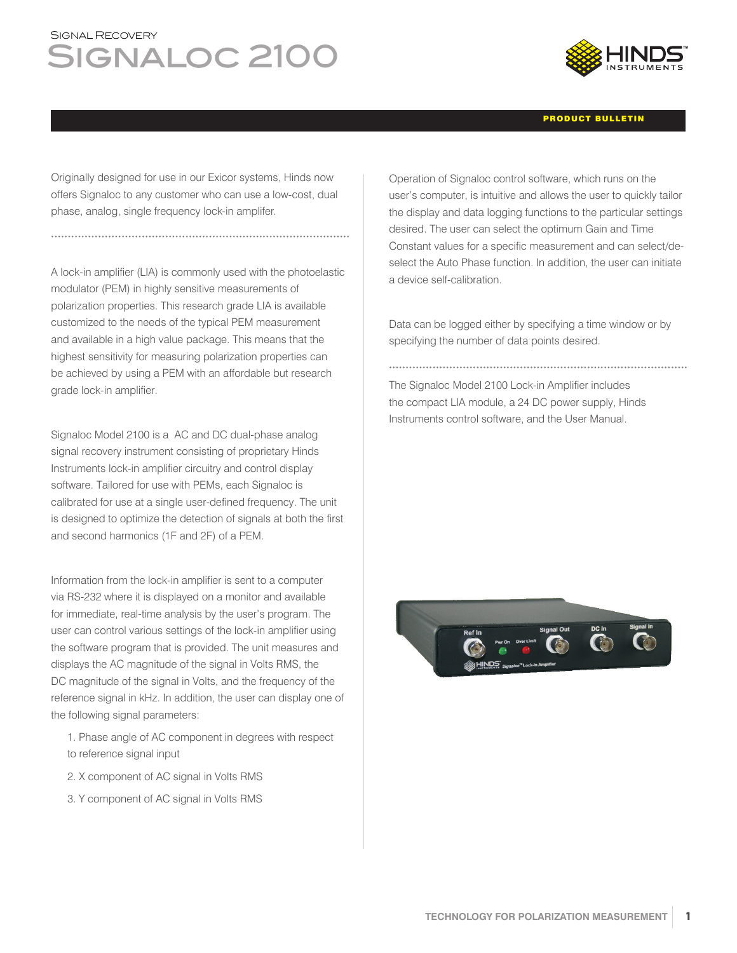## SIGNAL RECOVERY SIGNALOC 2100



## PRODUCT BULLETIN

Originally designed for use in our Exicor systems, Hinds now offers Signaloc to any customer who can use a low-cost, dual phase, analog, single frequency lock-in amplifer.

A lock-in amplifier (LIA) is commonly used with the photoelastic modulator (PEM) in highly sensitive measurements of polarization properties. This research grade LIA is available customized to the needs of the typical PEM measurement and available in a high value package. This means that the highest sensitivity for measuring polarization properties can be achieved by using a PEM with an affordable but research grade lock-in amplifier.

Signaloc Model 2100 is a AC and DC dual-phase analog signal recovery instrument consisting of proprietary Hinds Instruments lock-in amplifier circuitry and control display software. Tailored for use with PEMs, each Signaloc is calibrated for use at a single user-defined frequency. The unit is designed to optimize the detection of signals at both the first and second harmonics (1F and 2F) of a PEM.

Information from the lock-in amplifier is sent to a computer via RS-232 where it is displayed on a monitor and available for immediate, real-time analysis by the user's program. The user can control various settings of the lock-in amplifier using the software program that is provided. The unit measures and displays the AC magnitude of the signal in Volts RMS, the DC magnitude of the signal in Volts, and the frequency of the reference signal in kHz. In addition, the user can display one of the following signal parameters:

- 1. Phase angle of AC component in degrees with respect to reference signal input
- 2. X component of AC signal in Volts RMS
- 3. Y component of AC signal in Volts RMS

Operation of Signaloc control software, which runs on the user's computer, is intuitive and allows the user to quickly tailor the display and data logging functions to the particular settings desired. The user can select the optimum Gain and Time Constant values for a specific measurement and can select/deselect the Auto Phase function. In addition, the user can initiate a device self-calibration.

Data can be logged either by specifying a time window or by specifying the number of data points desired.

The Signaloc Model 2100 Lock-in Amplifier includes the compact LIA module, a 24 DC power supply, Hinds Instruments control software, and the User Manual.